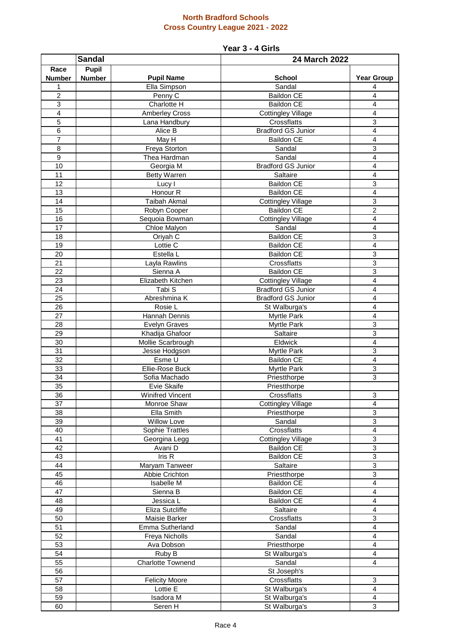## **North Bradford Schools Cross Country League 2021 - 2022**

## **Year 3 - 4 Girls**

| <b>Sandal</b>         |               |                                   | 24 March 2022                     |                           |
|-----------------------|---------------|-----------------------------------|-----------------------------------|---------------------------|
| Race                  | <b>Pupil</b>  |                                   |                                   |                           |
| <b>Number</b>         | <b>Number</b> | <b>Pupil Name</b>                 | <b>School</b>                     | <b>Year Group</b>         |
| 1                     |               | Ella Simpson                      | Sandal                            | 4                         |
| $\overline{c}$        |               | Penny C                           | <b>Baildon CE</b>                 | $\overline{4}$            |
| 3                     |               | Charlotte H                       | <b>Baildon CE</b>                 | 4                         |
| $\overline{4}$        |               | <b>Amberley Cross</b>             | <b>Cottingley Village</b>         | 4                         |
| 5                     |               | Lana Handbury                     | Crossflatts                       | $\overline{3}$            |
| $\overline{6}$        |               | Alice B                           | <b>Bradford GS Junior</b>         | $\overline{4}$            |
| $\overline{7}$        |               | May H                             | Baildon CE                        | 4                         |
| $\overline{8}$        |               | <b>Freya Storton</b>              | Sandal                            | $\overline{3}$            |
| 9                     |               | Thea Hardman                      | Sandal                            | 4                         |
| 10                    |               | Georgia M                         | <b>Bradford GS Junior</b>         | 4                         |
| 11                    |               | <b>Betty Warren</b>               | Saltaire                          | 4                         |
| 12                    |               | Lucy I                            | <b>Baildon CE</b>                 | $\mathbf{3}$              |
| 13                    |               | Honour <sub>R</sub>               | <b>Baildon CE</b>                 | 4                         |
| 14                    |               | <b>Taibah Akmal</b>               | <b>Cottingley Village</b>         | 3                         |
| 15                    |               | Robyn Cooper                      | Baildon CE                        | $\overline{2}$            |
| 16                    |               | Sequoia Bowman                    | <b>Cottingley Village</b>         | $\overline{\mathbf{4}}$   |
| 17                    |               | Chloe Malyon                      | Sandal                            | $\overline{4}$            |
| 18                    |               | Oriyah C                          | <b>Baildon CE</b>                 | $\ensuremath{\mathsf{3}}$ |
| 19                    |               | Lottie C                          | <b>Baildon CE</b>                 | $\overline{4}$            |
| 20                    |               | Estella L                         | <b>Baildon CE</b>                 | $\ensuremath{\mathsf{3}}$ |
| 21                    |               | Layla Rawlins                     | Crossflatts                       | $\overline{3}$            |
| $\overline{22}$       |               | Sienna A                          | <b>Baildon CE</b>                 | $\overline{3}$            |
| $\overline{23}$       |               | Elizabeth Kitchen                 | <b>Cottingley Village</b>         | $\overline{4}$            |
| 24<br>$\overline{25}$ |               | Tabi S<br>Abreshmina K            | <b>Bradford GS Junior</b>         | 4                         |
| $\overline{26}$       |               | Rosie L                           | <b>Bradford GS Junior</b>         | 4<br>4                    |
| 27                    |               | Hannah Dennis                     | St Walburga's                     | 4                         |
| 28                    |               | <b>Evelyn Graves</b>              | <b>Myrtle Park</b><br>Myrtle Park | 3                         |
| 29                    |               | Khadija Ghafoor                   | Saltaire                          | 3                         |
| 30                    |               | Mollie Scarbrough                 | Eldwick                           | $\overline{4}$            |
| 31                    |               | Jesse Hodgson                     | Myrtle Park                       | 3                         |
| 32                    |               | Esme U                            | <b>Baildon CE</b>                 | 4                         |
| 33                    |               | Ellie-Rose Buck                   | Myrtle Park                       | $\ensuremath{\mathsf{3}}$ |
| 34                    |               | Sofia Machado                     | Priestthorpe                      | $\mathbf{3}$              |
| 35                    |               | Evie Skaife                       | Priestthorpe                      |                           |
| 36                    |               | Winifred Vincent                  | Crossflatts                       | З                         |
| 37                    |               | Monroe Shaw                       | <b>Cottingley Village</b>         | $\overline{4}$            |
| 38                    |               | Ella Smith                        | Priestthorpe                      | 3                         |
| 39                    |               | <b>Willow Love</b>                | Sandal                            | 3                         |
| 40                    |               | Sophie Trattles                   | Crossflatts                       | $\overline{4}$            |
| $\overline{41}$       |               | Georgina Legg                     | <b>Cottingley Village</b>         | $\mathbf{3}$              |
| $\overline{42}$       |               | Avani D                           | <b>Baildon CE</b>                 | $\overline{3}$            |
| 43                    |               | Iris R                            | <b>Baildon CE</b>                 | 3                         |
| 44                    |               | Maryam Tanweer                    | Saltaire                          | $\mathbf{3}$              |
| 45                    |               | Abbie Crichton                    | Priestthorpe                      | 3                         |
| 46                    |               | Isabelle M                        | <b>Baildon CE</b>                 | 4                         |
| 47                    |               | Sienna B                          | Baildon CE                        | $\overline{4}$            |
| 48                    |               | Jessica L                         | <b>Baildon CE</b>                 | $\overline{\mathbf{4}}$   |
| 49                    |               | Eliza Sutcliffe                   | Saltaire                          | $\overline{4}$            |
| 50                    |               | Maisie Barker                     | Crossflatts                       | 3                         |
| 51                    |               | Emma Sutherland                   | Sandal                            | 4                         |
| 52                    |               | Freya Nicholls                    | Sandal                            | 4                         |
| 53                    |               | Ava Dobson                        | Priestthorpe                      | $\overline{4}$            |
| 54                    |               | Ruby B                            | St Walburga's                     | $\overline{\mathbf{4}}$   |
| 55                    |               | Charlotte Townend                 | Sandal                            | 4                         |
| 56                    |               |                                   | St Joseph's                       |                           |
| 57<br>58              |               | <b>Felicity Moore</b><br>Lottie E | Crossflatts                       | $\mathbf{3}$              |
| 59                    |               | Isadora M                         | St Walburga's<br>St Walburga's    | 4<br>$\overline{4}$       |
| 60                    |               | Seren H                           | St Walburga's                     | 3                         |
|                       |               |                                   |                                   |                           |